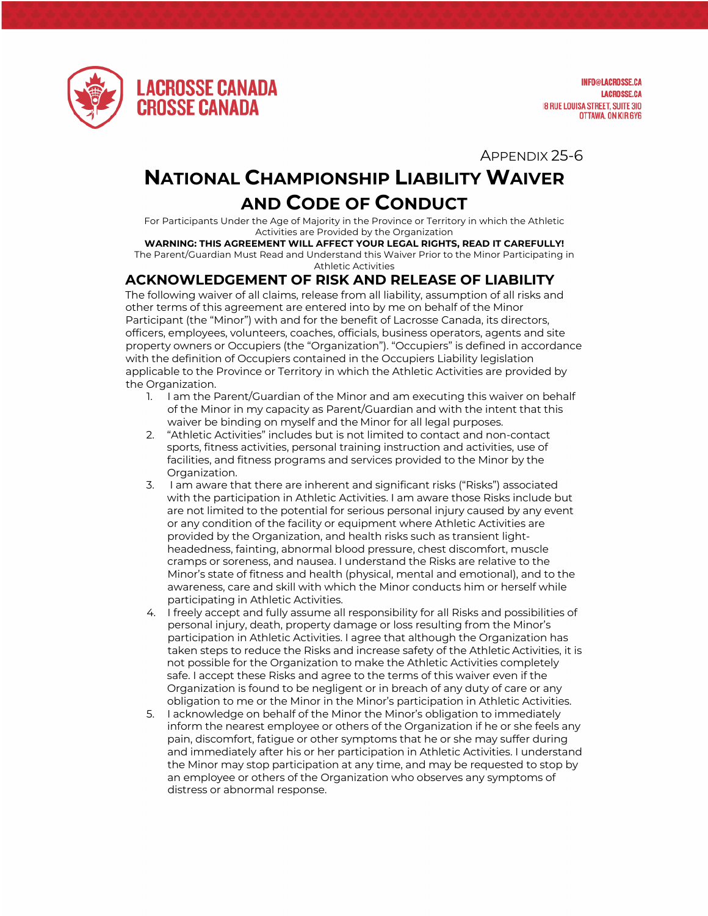

**INFO@LACROSSE.CA LACROSSE.CA 18 RUE LOUISA STREET, SUITE 310** OTTAWA, ON KIR 6Y6

APPENDIX 25-6

## **NATIONAL CHAMPIONSHIP LIABILITY WAIVER AND CODE OF CONDUCT**

For Participants Under the Age of Majority in the Province or Territory in which the Athletic Activities are Provided by the Organization

## **WARNING: THIS AGREEMENT WILL AFFECT YOUR LEGAL RIGHTS, READ IT CAREFULLY!** The Parent/Guardian Must Read and Understand this Waiver Prior to the Minor Participating in

Athletic Activities

## **ACKNOWLEDGEMENT OF RISK AND RELEASE OF LIABILITY**

The following waiver of all claims, release from all liability, assumption of all risks and other terms of this agreement are entered into by me on behalf of the Minor Participant (the "Minor") with and for the benefit of Lacrosse Canada, its directors, officers, employees, volunteers, coaches, officials, business operators, agents and site property owners or Occupiers (the "Organization"). "Occupiers" is defined in accordance with the definition of Occupiers contained in the Occupiers Liability legislation applicable to the Province or Territory in which the Athletic Activities are provided by the Organization.

- 1. I am the Parent/Guardian of the Minor and am executing this waiver on behalf of the Minor in my capacity as Parent/Guardian and with the intent that this waiver be binding on myself and the Minor for all legal purposes.
- 2. "Athletic Activities" includes but is not limited to contact and non-contact sports, fitness activities, personal training instruction and activities, use of facilities, and fitness programs and services provided to the Minor by the Organization.
- 3. I am aware that there are inherent and significant risks ("Risks") associated with the participation in Athletic Activities. I am aware those Risks include but are not limited to the potential for serious personal injury caused by any event or any condition of the facility or equipment where Athletic Activities are provided by the Organization, and health risks such as transient lightheadedness, fainting, abnormal blood pressure, chest discomfort, muscle cramps or soreness, and nausea. I understand the Risks are relative to the Minor's state of fitness and health (physical, mental and emotional), and to the awareness, care and skill with which the Minor conducts him or herself while participating in Athletic Activities.
- 4. I freely accept and fully assume all responsibility for all Risks and possibilities of personal injury, death, property damage or loss resulting from the Minor's participation in Athletic Activities. I agree that although the Organization has taken steps to reduce the Risks and increase safety of the Athletic Activities, it is not possible for the Organization to make the Athletic Activities completely safe. I accept these Risks and agree to the terms of this waiver even if the Organization is found to be negligent or in breach of any duty of care or any obligation to me or the Minor in the Minor's participation in Athletic Activities.
- 5. I acknowledge on behalf of the Minor the Minor's obligation to immediately inform the nearest employee or others of the Organization if he or she feels any pain, discomfort, fatigue or other symptoms that he or she may suffer during and immediately after his or her participation in Athletic Activities. I understand the Minor may stop participation at any time, and may be requested to stop by an employee or others of the Organization who observes any symptoms of distress or abnormal response.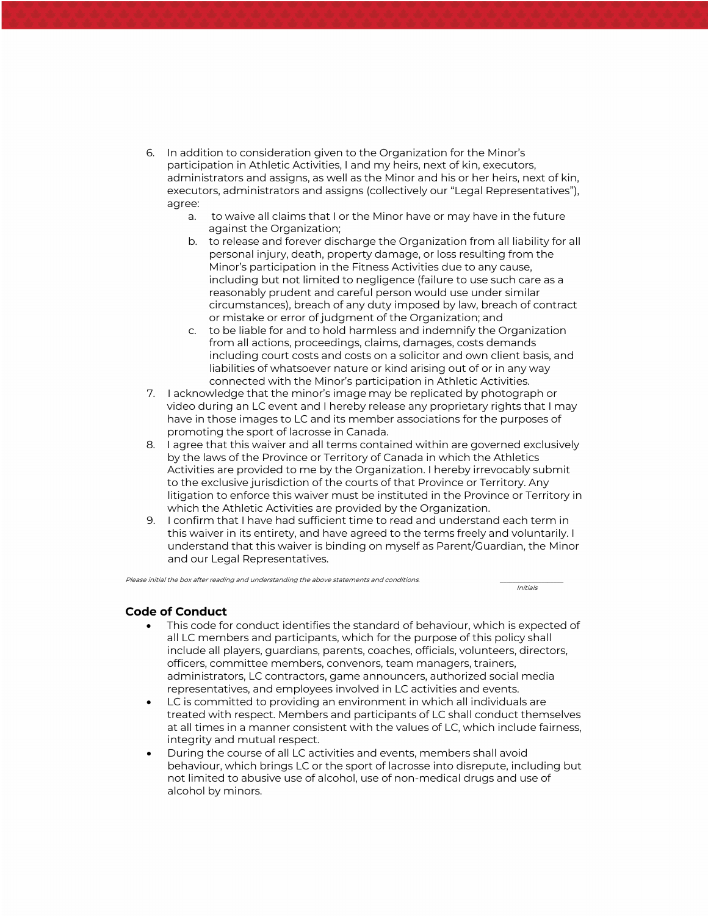- 6. In addition to consideration given to the Organization for the Minor's participation in Athletic Activities, I and my heirs, next of kin, executors, administrators and assigns, as well as the Minor and his or her heirs, next of kin, executors, administrators and assigns (collectively our "Legal Representatives"), agree:
	- a. to waive all claims that I or the Minor have or may have in the future against the Organization;
	- b. to release and forever discharge the Organization from all liability for all personal injury, death, property damage, or loss resulting from the Minor's participation in the Fitness Activities due to any cause, including but not limited to negligence (failure to use such care as a reasonably prudent and careful person would use under similar circumstances), breach of any duty imposed by law, breach of contract or mistake or error of judgment of the Organization; and
	- c. to be liable for and to hold harmless and indemnify the Organization from all actions, proceedings, claims, damages, costs demands including court costs and costs on a solicitor and own client basis, and liabilities of whatsoever nature or kind arising out of or in any way connected with the Minor's participation in Athletic Activities.
- 7. I acknowledge that the minor's image may be replicated by photograph or video during an LC event and I hereby release any proprietary rights that I may have in those images to LC and its member associations for the purposes of promoting the sport of lacrosse in Canada.
- 8. I agree that this waiver and all terms contained within are governed exclusively by the laws of the Province or Territory of Canada in which the Athletics Activities are provided to me by the Organization. I hereby irrevocably submit to the exclusive jurisdiction of the courts of that Province or Territory. Any litigation to enforce this waiver must be instituted in the Province or Territory in which the Athletic Activities are provided by the Organization.
- 9. I confirm that I have had sufficient time to read and understand each term in this waiver in its entirety, and have agreed to the terms freely and voluntarily. I understand that this waiver is binding on myself as Parent/Guardian, the Minor and our Legal Representatives.

Initials

Please initial the box after reading and understanding the above statements and conditions.

## **Code of Conduct**

- This code for conduct identifies the standard of behaviour, which is expected of all LC members and participants, which for the purpose of this policy shall include all players, guardians, parents, coaches, officials, volunteers, directors, officers, committee members, convenors, team managers, trainers, administrators, LC contractors, game announcers, authorized social media representatives, and employees involved in LC activities and events.
- LC is committed to providing an environment in which all individuals are treated with respect. Members and participants of LC shall conduct themselves at all times in a manner consistent with the values of LC, which include fairness, integrity and mutual respect.
- During the course of all LC activities and events, members shall avoid behaviour, which brings LC or the sport of lacrosse into disrepute, including but not limited to abusive use of alcohol, use of non-medical drugs and use of alcohol by minors.